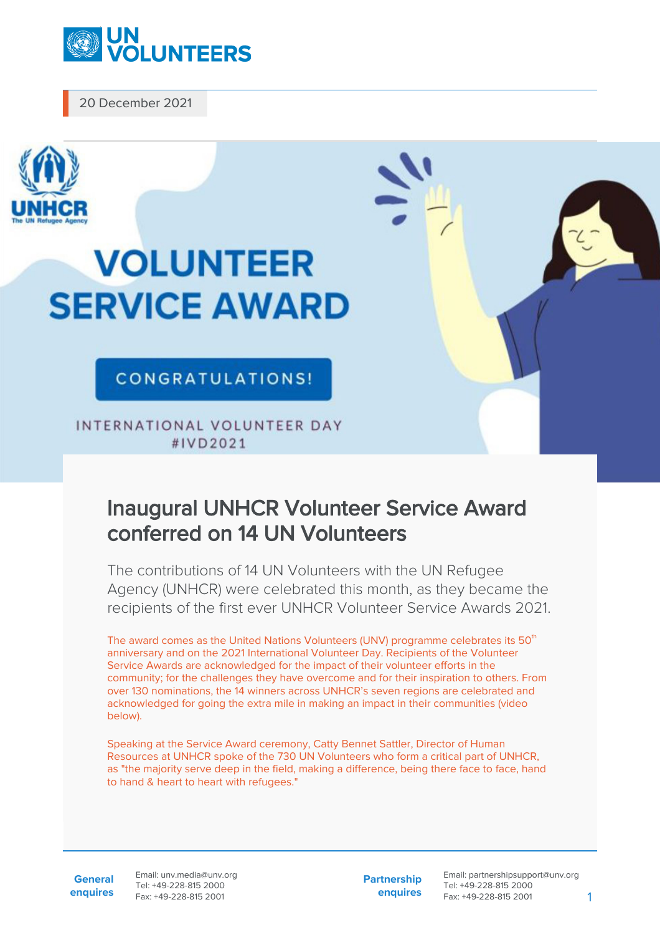

20 December 2021



## **VOLUNTEER SERVICE AWARD**

## CONGRATULATIONS!

INTERNATIONAL VOLUNTEER DAY #IVD2021

## Inaugural UNHCR Volunteer Service Award conferred on 14 UN Volunteers

The contributions of 14 UN Volunteers with the UN Refugee Agency (UNHCR) were celebrated this month, as they became the recipients of the first ever UNHCR Volunteer Service Awards 2021.

The award comes as the United Nations Volunteers (UNV) programme celebrates its  $50<sup>th</sup>$ anniversary and on the 2021 International Volunteer Day. Recipients of the Volunteer Service Awards are acknowledged for the impact of their volunteer efforts in the community; for the challenges they have overcome and for their inspiration to others. From over 130 nominations, the 14 winners across UNHCR's seven regions are celebrated and acknowledged for going the extra mile in making an impact in their communities (video below).

Speaking at the Service Award ceremony, Catty Bennet Sattler, Director of Human Resources at UNHCR spoke of the 730 UN Volunteers who form a critical part of UNHCR, as "the majority serve deep in the field, making a difference, being there face to face, hand to hand & heart to heart with refugees."

**General enquires** Email: unv.media@unv.org Tel: +49-228-815 2000 Fax: +49-228-815 2001

**Partnership enquires** Email: partnershipsupport@unv.org Tel: +49-228-815 2000 Fax: +49-228-815 2001 1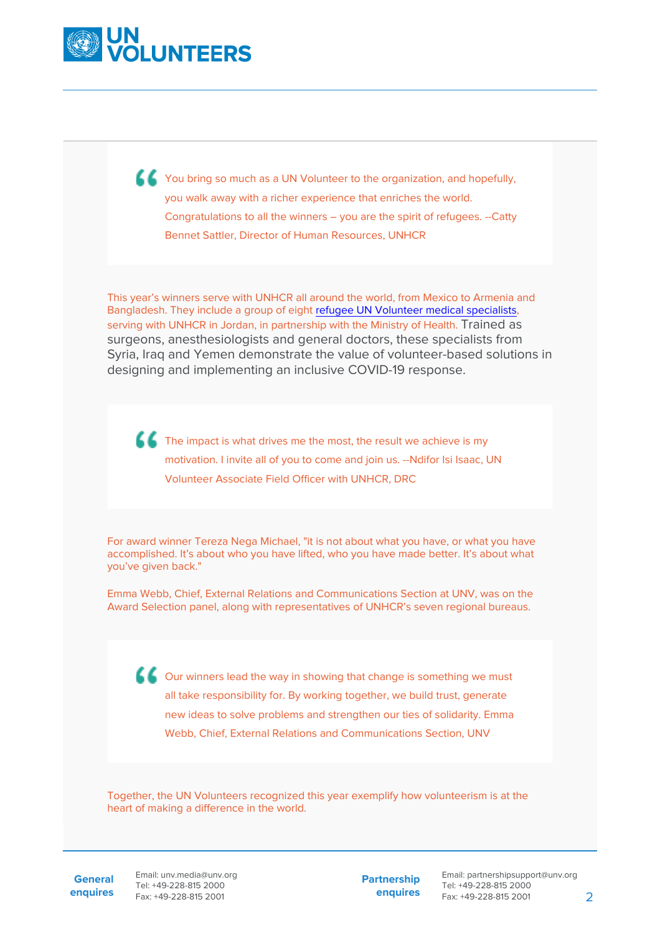

K You bring so much as a UN Volunteer to the organization, and hopefully, you walk away with a richer experience that enriches the world. Congratulations to all the winners – you are the spirit of refugees. --Catty Bennet Sattler, Director of Human Resources, UNHCR

This year's winners serve with UNHCR all around the world, from Mexico to Armenia and Bangladesh. They include a group of eight [refugee UN Volunteer medical specialists](https://www.unv.org/news/refugee-un-volunteer-medics-join-jordanian-covid-19-response), serving with UNHCR in Jordan, in partnership with the Ministry of Health. Trained as surgeons, anesthesiologists and general doctors, these specialists from Syria, Iraq and Yemen demonstrate the value of volunteer-based solutions in designing and implementing an inclusive COVID-19 response.

The impact is what drives me the most, the result we achieve is my motivation. I invite all of you to come and join us. --Ndifor Isi Isaac, UN Volunteer Associate Field Officer with UNHCR, DRC

For award winner Tereza Nega Michael, "it is not about what you have, or what you have accomplished. It's about who you have lifted, who you have made better. It's about what you've given back."

Emma Webb, Chief, External Relations and Communications Section at UNV, was on the Award Selection panel, along with representatives of UNHCR's seven regional bureaus.

Our winners lead the way in showing that change is something we must all take responsibility for. By working together, we build trust, generate new ideas to solve problems and strengthen our ties of solidarity. Emma Webb, Chief, External Relations and Communications Section, UNV

Together, the UN Volunteers recognized this year exemplify how volunteerism is at the heart of making a difference in the world.

**General enquires** Email: unv.media@unv.org Tel: +49-228-815 2000 Fax: +49-228-815 2001

**Partnership enquires**

Email: partnershipsupport@unv.org Tel: +49-228-815 2000 Fax: +49-228-815 2001 2